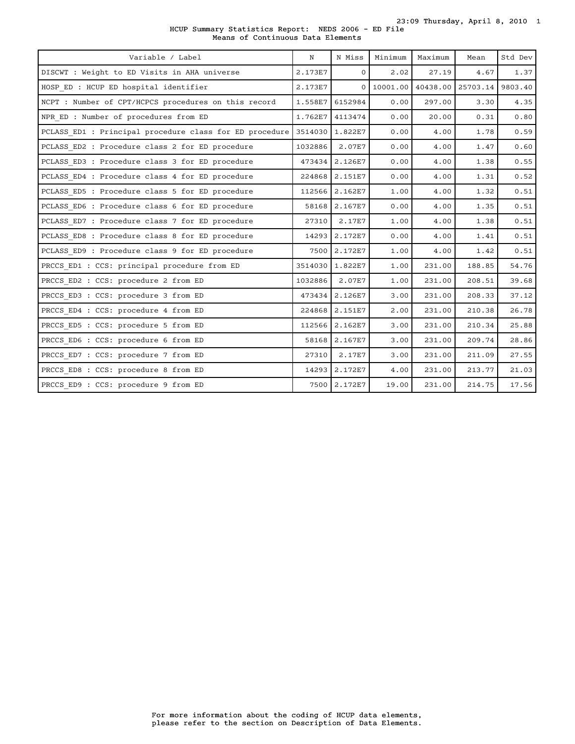23:09 Thursday, April 8, 2010 1

HCUP Summary Statistics Report: NEDS 2006 - ED File Means of Continuous Data Elements

| Variable / Label                                        | N       | N Miss         | Minimum  | Maximum  | Mean             | Std Dev |
|---------------------------------------------------------|---------|----------------|----------|----------|------------------|---------|
| DISCWT : Weight to ED Visits in AHA universe            | 2.173E7 | $\mathbf{0}$   | 2.02     | 27.19    | 4.67             | 1.37    |
| HOSP ED : HCUP ED hospital identifier                   | 2.173E7 | $\Omega$       | 10001.00 | 40438.00 | 25703.14 9803.40 |         |
| NCPT : Number of CPT/HCPCS procedures on this record    | 1.558E7 | 6152984        | 0.00     | 297.00   | 3.30             | 4.35    |
| NPR ED : Number of procedures from ED                   | 1.762E7 | 4113474        | 0.00     | 20.00    | 0.31             | 0.80    |
| PCLASS ED1 : Principal procedure class for ED procedure | 3514030 | 1.822E7        | 0.00     | 4.00     | 1.78             | 0.59    |
| PCLASS ED2 : Procedure class 2 for ED procedure         | 1032886 | 2.07E7         | 0.00     | 4.00     | 1.47             | 0.60    |
| PCLASS ED3 : Procedure class 3 for ED procedure         | 473434  | 2.126E7        | 0.00     | 4.00     | 1.38             | 0.55    |
| PCLASS ED4 : Procedure class 4 for ED procedure         | 224868  | 2.151E7        | 0.00     | 4.00     | 1.31             | 0.52    |
| PCLASS ED5 : Procedure class 5 for ED procedure         | 112566  | 2.162E7        | 1.00     | 4.00     | 1.32             | 0.51    |
| PCLASS ED6 : Procedure class 6 for ED procedure         | 58168   | 2.167E7        | 0.00     | 4.00     | 1.35             | 0.51    |
| PCLASS ED7 : Procedure class 7 for ED procedure         | 27310   | 2.17E7         | 1.00     | 4.00     | 1.38             | 0.51    |
| PCLASS_ED8 : Procedure class 8 for ED procedure         | 14293   | 2.172E7        | 0.00     | 4.00     | 1.41             | 0.51    |
| PCLASS ED9 : Procedure class 9 for ED procedure         | 7500    | 2.172E7        | 1.00     | 4.00     | 1.42             | 0.51    |
| PRCCS ED1 : CCS: principal procedure from ED            | 3514030 | 1.822E7        | 1.00     | 231.00   | 188.85           | 54.76   |
| PRCCS ED2 : CCS: procedure 2 from ED                    | 1032886 | 2.07E7         | 1.00     | 231.00   | 208.51           | 39.68   |
| PRCCS ED3 : CCS: procedure 3 from ED                    |         | 473434 2.126E7 | 3.00     | 231.00   | 208.33           | 37.12   |
| PRCCS ED4 : CCS: procedure 4 from ED                    | 224868  | 2.151E7        | 2.00     | 231.00   | 210.38           | 26.78   |
| PRCCS ED5 : CCS: procedure 5 from ED                    | 112566  | 2.162E7        | 3.00     | 231.00   | 210.34           | 25.88   |
| PRCCS ED6 : CCS: procedure 6 from ED                    | 58168   | 2.167E7        | 3.00     | 231.00   | 209.74           | 28.86   |
| PRCCS ED7 : CCS: procedure 7 from ED                    | 27310   | 2.17E7         | 3.00     | 231.00   | 211.09           | 27.55   |
| PRCCS ED8 : CCS: procedure 8 from ED                    | 14293   | 2.172E7        | 4.00     | 231.00   | 213.77           | 21.03   |
| PRCCS ED9 : CCS: procedure 9 from ED                    | 7500    | 2.172E7        | 19.00    | 231.00   | 214.75           | 17.56   |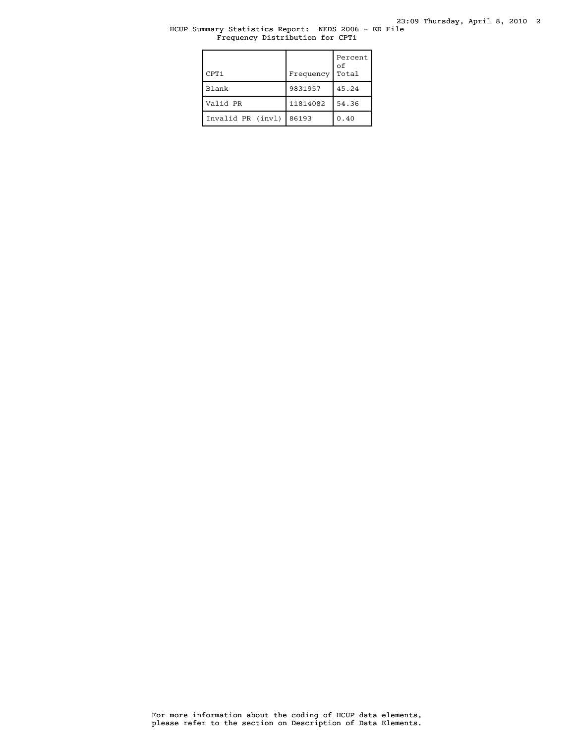## HCUP Summary Statistics Report: NEDS 2006 - ED File Frequency Distribution for CPT1

| CPT1              | Frequency | Percent<br>of<br>Total |
|-------------------|-----------|------------------------|
| Blank             | 9831957   | 45.24                  |
| Valid PR          | 11814082  | 54.36                  |
| Invalid PR (invl) | 86193     | 0.40                   |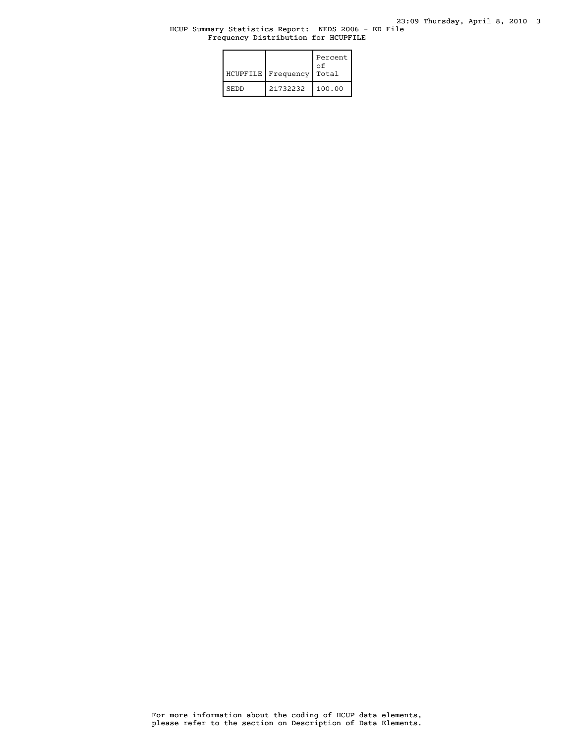#### HCUP Summary Statistics Report: NEDS 2006 - ED File Frequency Distribution for HCUPFILE

|             | HCUPFILE   Frequency | Percent<br>οf<br>Total |
|-------------|----------------------|------------------------|
| <b>SEDD</b> | 21732232             | 100.00                 |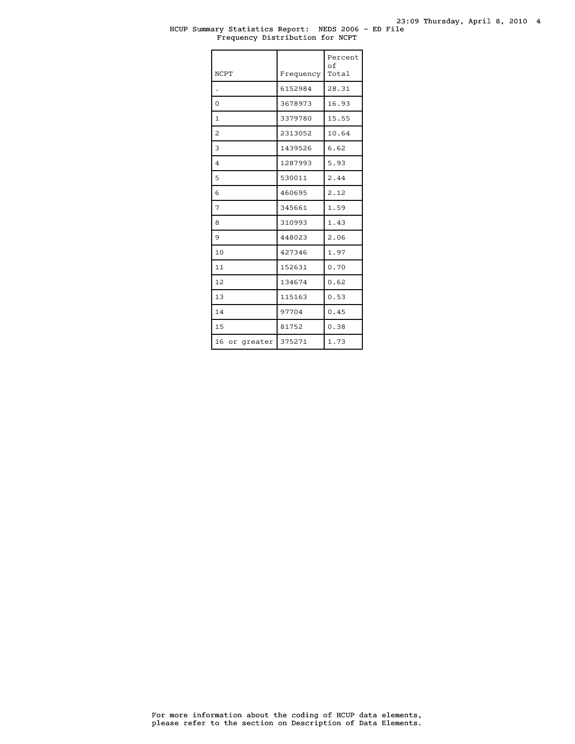#### HCUP Summary Statistics Report: NEDS 2006 - ED File Frequency Distribution for NCPT

| <b>NCPT</b>   | Frequency | Percent<br>оf<br>Total |
|---------------|-----------|------------------------|
|               | 6152984   | 28.31                  |
| $\Omega$      | 3678973   | 16.93                  |
| 1             | 3379780   | 15.55                  |
| 2             | 2313052   | 10.64                  |
| 3             | 1439526   | 6.62                   |
| 4             | 1287993   | 5.93                   |
| 5             | 530011    | 2.44                   |
| 6             | 460695    | 2.12                   |
| 7             | 345661    | 1.59                   |
| 8             | 310993    | 1.43                   |
| 9             | 448023    | 2.06                   |
| 10            | 427346    | 1.97                   |
| 11            | 152631    | 0.70                   |
| 12.           | 134674    | 0.62                   |
| 13            | 115163    | 0.53                   |
| 14            | 97704     | 0.45                   |
| 15            | 81752     | 0.38                   |
| 16 or greater | 375271    | 1.73                   |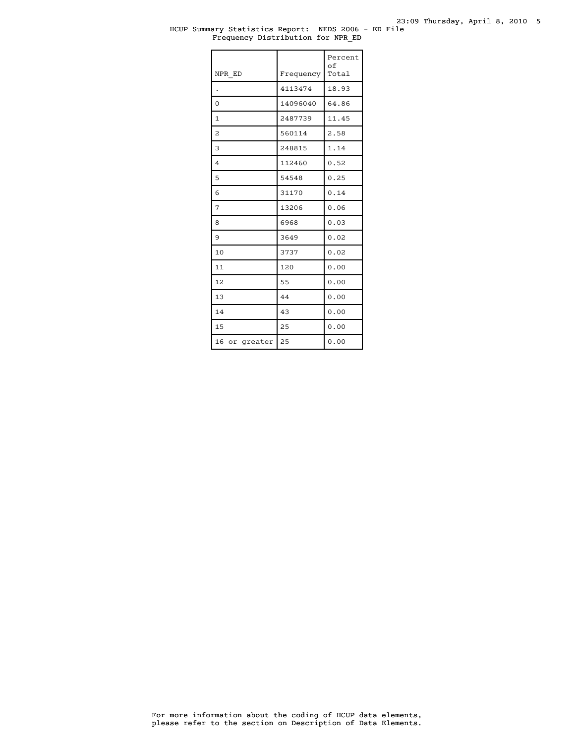#### HCUP Summary Statistics Report: NEDS 2006 - ED File Frequency Distribution for NPR\_ED

| NPR ED         | Frequency | Percent<br>$\circ$ f<br>Total |
|----------------|-----------|-------------------------------|
|                | 4113474   | 18.93                         |
| $\Omega$       | 14096040  | 64.86                         |
| $\mathbf{1}$   | 2487739   | 11.45                         |
| $\overline{c}$ | 560114    | 2.58                          |
| 3              | 248815    | 1.14                          |
| $\overline{4}$ | 112460    | 0.52                          |
| 5              | 54548     | 0.25                          |
| 6              | 31170     | 0.14                          |
| 7              | 13206     | 0.06                          |
| 8              | 6968      | 0.03                          |
| 9              | 3649      | 0.02                          |
| 10             | 3737      | 0.02                          |
| 11             | 120       | 0.00                          |
| 12             | 55        | 0.00                          |
| 13             | 44        | 0.00                          |
| 14             | 43        | 0.00                          |
| 15             | 25        | 0.00                          |
| 16 or greater  | 25        | 0.00                          |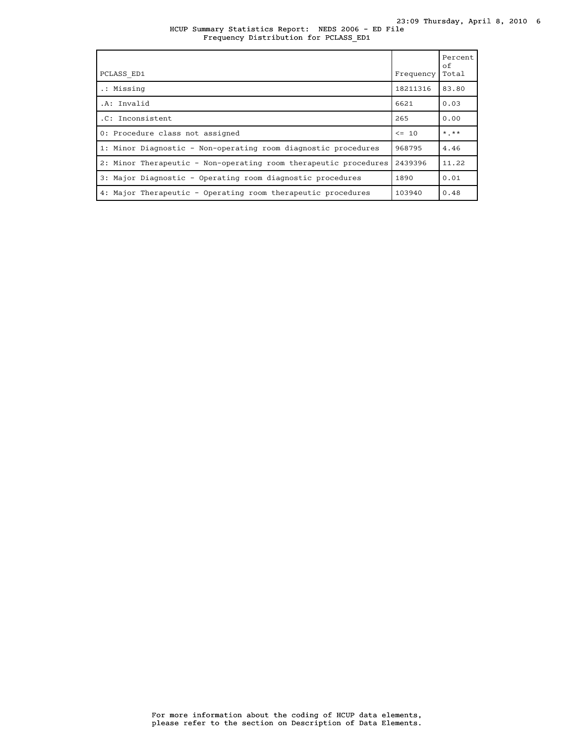HCUP Summary Statistics Report: NEDS 2006 - ED File Frequency Distribution for PCLASS\_ED1

| PCLASS ED1                                                       | Frequency | Percent<br>of<br>Total |
|------------------------------------------------------------------|-----------|------------------------|
| .: Missing                                                       | 18211316  | 83.80                  |
| .A: Invalid                                                      | 6621      | 0.03                   |
| .C: Inconsistent                                                 | 265       | 0.00                   |
| 0: Procedure class not assigned                                  | $\leq$ 10 | $*$ , $**$             |
| 1: Minor Diagnostic - Non-operating room diagnostic procedures   | 968795    | 4.46                   |
| 2: Minor Therapeutic - Non-operating room therapeutic procedures | 2439396   | 11.22                  |
| 3: Major Diagnostic - Operating room diagnostic procedures       | 1890      | 0.01                   |
| 4: Major Therapeutic - Operating room therapeutic procedures     | 103940    | 0.48                   |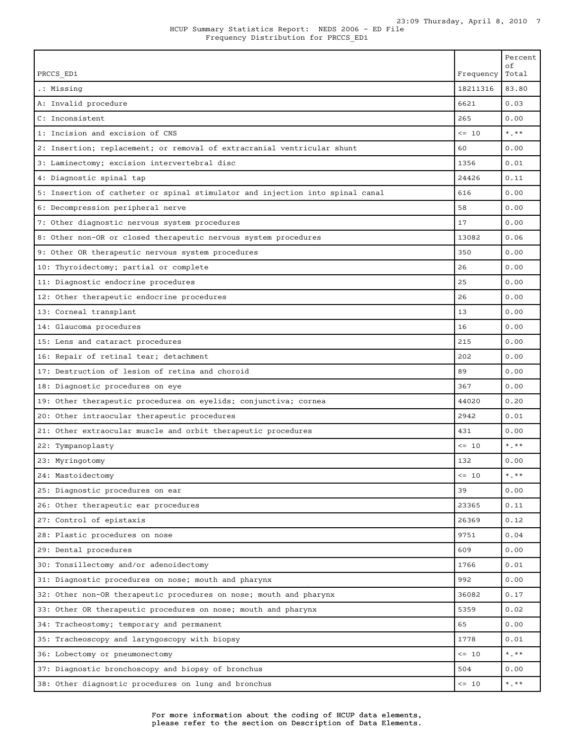|                                                                               |            | Percent<br>οf          |
|-------------------------------------------------------------------------------|------------|------------------------|
| PRCCS ED1                                                                     | Frequency  | Total                  |
| .: Missing                                                                    | 18211316   | 83.80                  |
| A: Invalid procedure                                                          | 6621       | 0.03                   |
| C: Inconsistent                                                               | 265        | 0.00                   |
| 1: Incision and excision of CNS                                               | $\leq -10$ | $*$ , $*$              |
| 2: Insertion; replacement; or removal of extracranial ventricular shunt       | 60         | 0.00                   |
| 3: Laminectomy; excision intervertebral disc                                  | 1356       | 0.01                   |
| 4: Diagnostic spinal tap                                                      | 24426      | 0.11                   |
| 5: Insertion of catheter or spinal stimulator and injection into spinal canal | 616        | 0.00                   |
| 6: Decompression peripheral nerve                                             | 58         | 0.00                   |
| 7: Other diagnostic nervous system procedures                                 | 17         | 0.00                   |
| 8: Other non-OR or closed therapeutic nervous system procedures               | 13082      | 0.06                   |
| 9: Other OR therapeutic nervous system procedures                             | 350        | 0.00                   |
| 10: Thyroidectomy; partial or complete                                        | 26         | 0.00                   |
| 11: Diagnostic endocrine procedures                                           | 25         | 0.00                   |
| 12: Other therapeutic endocrine procedures                                    | 26         | 0.00                   |
| 13: Corneal transplant                                                        | 13         | 0.00                   |
| 14: Glaucoma procedures                                                       | 16         | 0.00                   |
| 15: Lens and cataract procedures                                              | 215        | 0.00                   |
| 16: Repair of retinal tear; detachment                                        | 202        | 0.00                   |
| 17: Destruction of lesion of retina and choroid                               | 89         | 0.00                   |
| 18: Diagnostic procedures on eye                                              | 367        | 0.00                   |
| 19: Other therapeutic procedures on eyelids; conjunctiva; cornea              | 44020      | 0.20                   |
| 20: Other intraocular therapeutic procedures                                  | 2942       | 0.01                   |
| 21: Other extraocular muscle and orbit therapeutic procedures                 | 431        | 0.00                   |
| 22: Tympanoplasty                                                             | $<= 10$    | $*$ . $**$             |
| 23: Myringotomy                                                               | 132        | 0.00                   |
| 24: Mastoidectomy                                                             | $\leq 10$  | $*$ , $**$             |
| 25: Diagnostic procedures on ear                                              | 39         | 0.00                   |
| 26: Other therapeutic ear procedures                                          | 23365      | 0.11                   |
| 27: Control of epistaxis                                                      | 26369      | 0.12                   |
| 28: Plastic procedures on nose                                                | 9751       | 0.04                   |
| 29: Dental procedures                                                         | 609        | 0.00                   |
| 30: Tonsillectomy and/or adenoidectomy                                        | 1766       | 0.01                   |
| 31: Diagnostic procedures on nose; mouth and pharynx                          | 992        | 0.00                   |
| 32: Other non-OR therapeutic procedures on nose; mouth and pharynx            | 36082      | 0.17                   |
| 33: Other OR therapeutic procedures on nose; mouth and pharynx                | 5359       | 0.02                   |
| 34: Tracheostomy; temporary and permanent                                     | 65         | 0.00                   |
| 35: Tracheoscopy and laryngoscopy with biopsy                                 | 1778       | 0.01                   |
| 36: Lobectomy or pneumonectomy                                                | $<= 10$    | $\star$ . $\star\star$ |
| 37: Diagnostic bronchoscopy and biopsy of bronchus                            | 504        | 0.00                   |
| 38: Other diagnostic procedures on lung and bronchus                          | $\leq 10$  | $\star$ . $\star\star$ |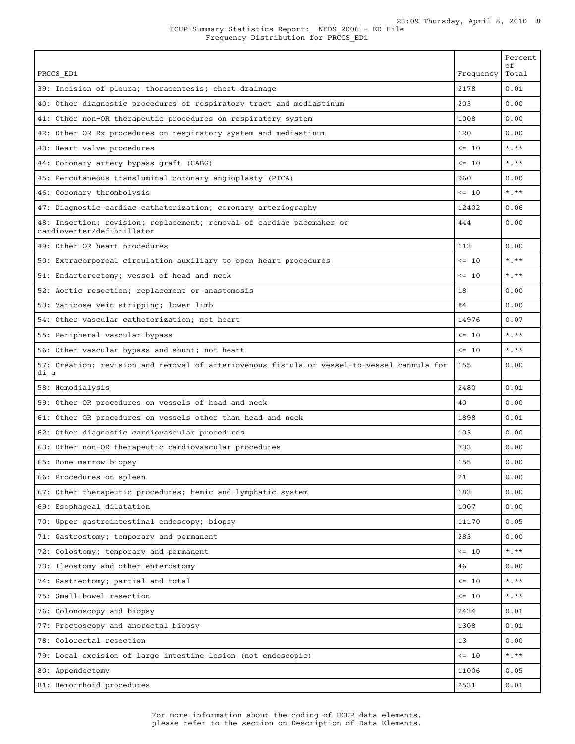|                                                                                                     |            | Percent<br>οf          |
|-----------------------------------------------------------------------------------------------------|------------|------------------------|
| PRCCS ED1                                                                                           | Frequency  | Total                  |
| 39: Incision of pleura; thoracentesis; chest drainage                                               | 2178       | 0.01                   |
| 40: Other diagnostic procedures of respiratory tract and mediastinum                                | 203        | 0.00                   |
| 41: Other non-OR therapeutic procedures on respiratory system                                       | 1008       | 0.00                   |
| 42: Other OR Rx procedures on respiratory system and mediastinum                                    | 120        | 0.00                   |
| 43: Heart valve procedures                                                                          | $\leq$ 10  | $*$ , $*$              |
| 44: Coronary artery bypass graft (CABG)                                                             | $\leq$ 10  | $*$ . $**$             |
| 45: Percutaneous transluminal coronary angioplasty (PTCA)                                           | 960        | 0.00                   |
| 46: Coronary thrombolysis                                                                           | $\leq -10$ | $*$ . $**$             |
| 47: Diagnostic cardiac catheterization; coronary arteriography                                      | 12402      | 0.06                   |
| 48: Insertion; revision; replacement; removal of cardiac pacemaker or<br>cardioverter/defibrillator | 444        | 0.00                   |
| 49: Other OR heart procedures                                                                       | 113        | 0.00                   |
| 50: Extracorporeal circulation auxiliary to open heart procedures                                   | $\leq 10$  | $*$ . $**$             |
| 51: Endarterectomy; vessel of head and neck                                                         | $\leq$ 10  | $*$ . $**$             |
| 52: Aortic resection; replacement or anastomosis                                                    | 18         | 0.00                   |
| 53: Varicose vein stripping; lower limb                                                             | 84         | 0.00                   |
| 54: Other vascular catheterization; not heart                                                       | 14976      | 0.07                   |
| 55: Peripheral vascular bypass                                                                      | $\leq$ 10  | $*$ , $*$              |
| 56: Other vascular bypass and shunt; not heart                                                      | $\leq$ 10  | $*$ . $**$             |
| 57: Creation; revision and removal of arteriovenous fistula or vessel-to-vessel cannula for<br>di a | 155        | 0.00                   |
| 58: Hemodialysis                                                                                    | 2480       | 0.01                   |
| 59: Other OR procedures on vessels of head and neck                                                 | 40         | 0.00                   |
| 61: Other OR procedures on vessels other than head and neck                                         | 1898       | 0.01                   |
| 62: Other diagnostic cardiovascular procedures                                                      | 103        | 0.00                   |
| 63: Other non-OR therapeutic cardiovascular procedures                                              | 733        | 0.00                   |
| 65: Bone marrow biopsy                                                                              | 155        | 0.00                   |
| 66: Procedures on spleen                                                                            | 21         | 0.00                   |
| 67: Other therapeutic procedures; hemic and lymphatic system                                        | 183        | 0.00                   |
| 69: Esophageal dilatation                                                                           | 1007       | 0.00                   |
| 70: Upper gastrointestinal endoscopy; biopsy                                                        | 11170      | 0.05                   |
| 71: Gastrostomy; temporary and permanent                                                            | 283        | 0.00                   |
| 72: Colostomy; temporary and permanent                                                              | $\leq -10$ | $\star$ . $\star\star$ |
| 73: Ileostomy and other enterostomy                                                                 | 46         | 0.00                   |
| 74: Gastrectomy; partial and total                                                                  | $\leq 10$  | $\star$ . $\star\star$ |
| 75: Small bowel resection                                                                           | $\leq -10$ | $\star$ . $\star\star$ |
| 76: Colonoscopy and biopsy                                                                          | 2434       | 0.01                   |
| 77: Proctoscopy and anorectal biopsy                                                                | 1308       | 0.01                   |
| 78: Colorectal resection                                                                            | 13         | 0.00                   |
| 79: Local excision of large intestine lesion (not endoscopic)                                       | $\leq -10$ | $*$ . $**$             |
| 80: Appendectomy                                                                                    | 11006      | 0.05                   |
| 81: Hemorrhoid procedures                                                                           | 2531       | 0.01                   |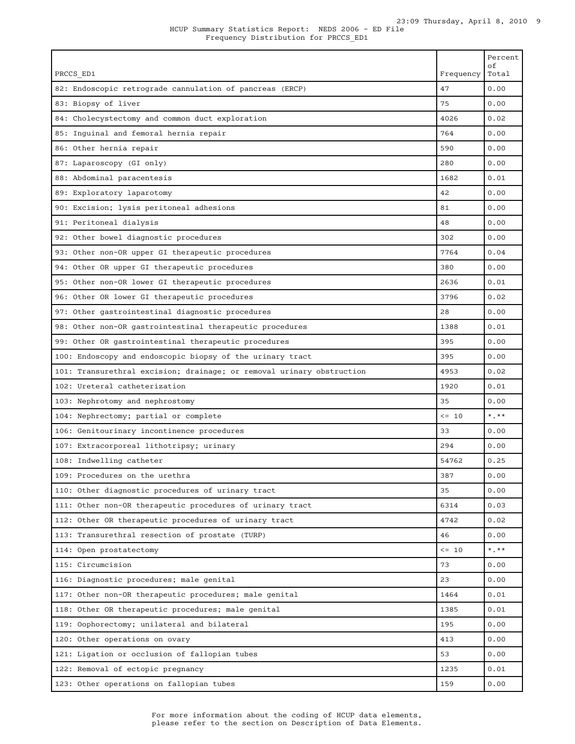|                                                                       |            | Percent<br>οf |
|-----------------------------------------------------------------------|------------|---------------|
| PRCCS_ED1                                                             | Frequency  | Total         |
| 82: Endoscopic retrograde cannulation of pancreas (ERCP)              | 47         | 0.00          |
| 83: Biopsy of liver                                                   | 75         | 0.00          |
| 84: Cholecystectomy and common duct exploration                       | 4026       | 0.02          |
| 85: Inguinal and femoral hernia repair                                | 764        | 0.00          |
| 86: Other hernia repair                                               | 590        | 0.00          |
| 87: Laparoscopy (GI only)                                             | 280        | 0.00          |
| 88: Abdominal paracentesis                                            | 1682       | 0.01          |
| 89: Exploratory laparotomy                                            | 42         | 0.00          |
| 90: Excision; lysis peritoneal adhesions                              | 81         | 0.00          |
| 91: Peritoneal dialysis                                               | 48         | 0.00          |
| 92: Other bowel diagnostic procedures                                 | 302        | 0.00          |
| 93: Other non-OR upper GI therapeutic procedures                      | 7764       | 0.04          |
| 94: Other OR upper GI therapeutic procedures                          | 380        | 0.00          |
| 95: Other non-OR lower GI therapeutic procedures                      | 2636       | 0.01          |
| 96: Other OR lower GI therapeutic procedures                          | 3796       | 0.02          |
| 97: Other gastrointestinal diagnostic procedures                      | 28         | 0.00          |
| 98: Other non-OR gastrointestinal therapeutic procedures              | 1388       | 0.01          |
| 99: Other OR gastrointestinal therapeutic procedures                  | 395        | 0.00          |
| 100: Endoscopy and endoscopic biopsy of the urinary tract             | 395        | 0.00          |
| 101: Transurethral excision; drainage; or removal urinary obstruction | 4953       | 0.02          |
| 102: Ureteral catheterization                                         | 1920       | 0.01          |
| 103: Nephrotomy and nephrostomy                                       | 35         | 0.00          |
| 104: Nephrectomy; partial or complete                                 | $\leq -10$ | $*$ , $**$    |
| 106: Genitourinary incontinence procedures                            | 33         | 0.00          |
| 107: Extracorporeal lithotripsy; urinary                              | 294        | 0.00          |
| 108: Indwelling catheter                                              | 54762      | 0.25          |
| 109: Procedures on the urethra                                        | 387        | 0.00          |
| 110: Other diagnostic procedures of urinary tract                     | 35         | 0.00          |
| 111: Other non-OR therapeutic procedures of urinary tract             | 6314       | 0.03          |
| 112: Other OR therapeutic procedures of urinary tract                 | 4742       | 0.02          |
| 113: Transurethral resection of prostate (TURP)                       | 46         | 0.00          |
| 114: Open prostatectomy                                               | $\leq -10$ | $*$ , $**$    |
| 115: Circumcision                                                     | 73         | 0.00          |
| 116: Diagnostic procedures; male genital                              | 23         | 0.00          |
| 117: Other non-OR therapeutic procedures; male genital                | 1464       | 0.01          |
| 118: Other OR therapeutic procedures; male genital                    | 1385       | 0.01          |
| 119: Oophorectomy; unilateral and bilateral                           | 195        | 0.00          |
| 120: Other operations on ovary                                        | 413        | 0.00          |
| 121: Ligation or occlusion of fallopian tubes                         | 53         | 0.00          |
| 122: Removal of ectopic pregnancy                                     | 1235       | 0.01          |
| 123: Other operations on fallopian tubes                              | 159        | 0.00          |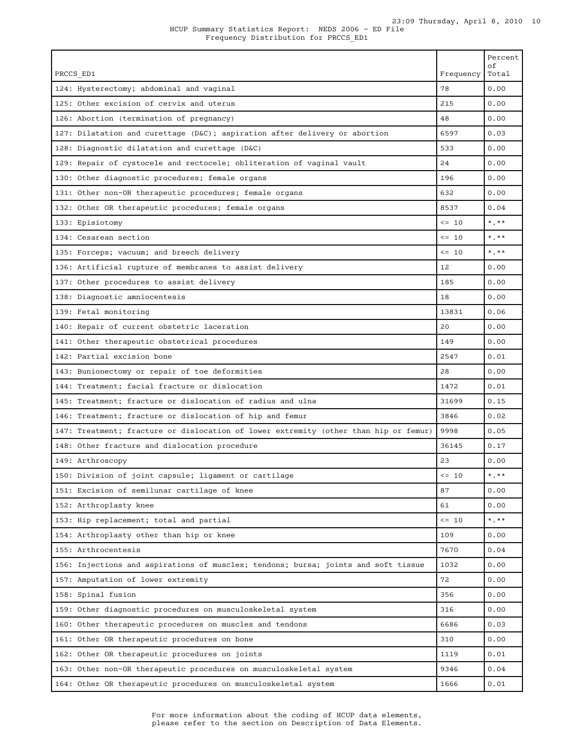| PRCCS ED1                                                                            | Frequency | Percent<br>οf<br>Total  |
|--------------------------------------------------------------------------------------|-----------|-------------------------|
| 124: Hysterectomy; abdominal and vaginal                                             | 78        | 0.00                    |
| 125: Other excision of cervix and uterus                                             | 215       | 0.00                    |
| 126: Abortion (termination of pregnancy)                                             | 48        | 0.00                    |
| 127: Dilatation and curettage (D&C); aspiration after delivery or abortion           | 6597      | 0.03                    |
| 128: Diagnostic dilatation and curettage (D&C)                                       | 533       | 0.00                    |
| 129: Repair of cystocele and rectocele; obliteration of vaginal vault                | 24        | 0.00                    |
| 130: Other diagnostic procedures; female organs                                      | 196       | 0.00                    |
| 131: Other non-OR therapeutic procedures; female organs                              | 632       | 0.00                    |
| 132: Other OR therapeutic procedures; female organs                                  | 8537      | 0.04                    |
| 133: Episiotomy                                                                      | $\leq$ 10 | $*$ . $**$              |
| 134: Cesarean section                                                                | $\leq$ 10 | $*$ $**$                |
| 135: Forceps; vacuum; and breech delivery                                            | $\leq$ 10 | $\star$ $\star$ $\star$ |
| 136: Artificial rupture of membranes to assist delivery                              | 12        | 0.00                    |
| 137: Other procedures to assist delivery                                             | 185       | 0.00                    |
| 138: Diagnostic amniocentesis                                                        | 18        | 0.00                    |
| 139: Fetal monitoring                                                                | 13831     | 0.06                    |
| 140: Repair of current obstetric laceration                                          | 20        | 0.00                    |
| 141: Other therapeutic obstetrical procedures                                        | 149       | 0.00                    |
| 142: Partial excision bone                                                           | 2547      | 0.01                    |
| 143: Bunionectomy or repair of toe deformities                                       | 28        | 0.00                    |
| 144: Treatment; facial fracture or dislocation                                       | 1472      | 0.01                    |
| 145: Treatment; fracture or dislocation of radius and ulna                           | 31699     | 0.15                    |
| 146: Treatment; fracture or dislocation of hip and femur                             | 3846      | 0.02                    |
| 147: Treatment; fracture or dislocation of lower extremity (other than hip or femur) | 9998      | 0.05                    |
| 148: Other fracture and dislocation procedure                                        | 36145     | 0.17                    |
| 149: Arthroscopy                                                                     | 23        | 0.00                    |
| 150: Division of joint capsule; ligament or cartilage                                | $\leq$ 10 | $*$ , $*$               |
| 151: Excision of semilunar cartilage of knee                                         | 87        | 0.00                    |
| 152: Arthroplasty knee                                                               | 61        | 0.00                    |
| 153: Hip replacement; total and partial                                              | $<= 10$   | $\star$ . $\star\star$  |
| 154: Arthroplasty other than hip or knee                                             | 109       | 0.00                    |
| 155: Arthrocentesis                                                                  | 7670      | 0.04                    |
| 156: Injections and aspirations of muscles; tendons; bursa; joints and soft tissue   | 1032      | 0.00                    |
| 157: Amputation of lower extremity                                                   | 72        | 0.00                    |
| 158: Spinal fusion                                                                   | 356       | 0.00                    |
| 159: Other diagnostic procedures on musculoskeletal system                           | 316       | 0.00                    |
| 160: Other therapeutic procedures on muscles and tendons                             | 6686      | 0.03                    |
| 161: Other OR therapeutic procedures on bone                                         | 310       | 0.00                    |
| 162: Other OR therapeutic procedures on joints                                       | 1119      | 0.01                    |
| 163: Other non-OR therapeutic procedures on musculoskeletal system                   | 9346      | 0.04                    |
| 164: Other OR therapeutic procedures on musculoskeletal system                       | 1666      | 0.01                    |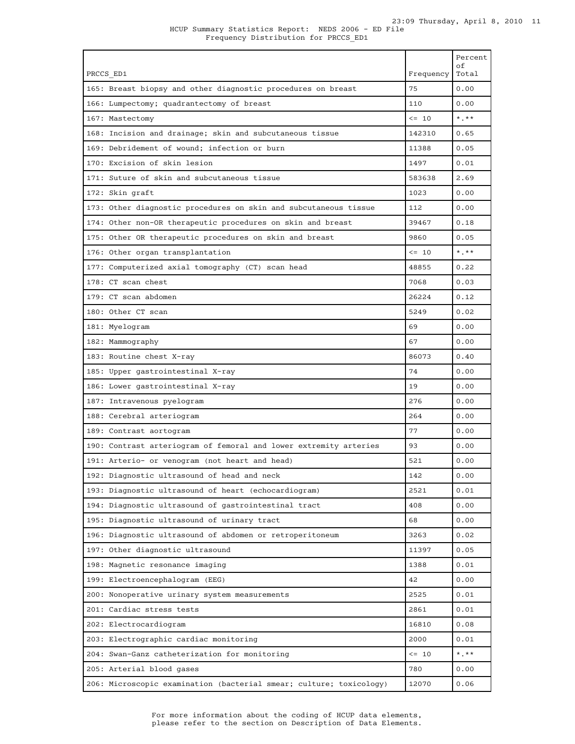|                                                                     |            | Percent<br>оf             |
|---------------------------------------------------------------------|------------|---------------------------|
| PRCCS ED1                                                           | Frequency  | Total                     |
| 165: Breast biopsy and other diagnostic procedures on breast        | 75         | 0.00                      |
| 166: Lumpectomy; quadrantectomy of breast                           | 110        | 0.00                      |
| 167: Mastectomy                                                     | $\leq$ 10  | $*$ $*$                   |
| 168: Incision and drainage; skin and subcutaneous tissue            | 142310     | 0.65                      |
| 169: Debridement of wound; infection or burn                        | 11388      | 0.05                      |
| 170: Excision of skin lesion                                        | 1497       | 0.01                      |
| 171: Suture of skin and subcutaneous tissue                         | 583638     | 2.69                      |
| 172: Skin graft                                                     | 1023       | 0.00                      |
| 173: Other diagnostic procedures on skin and subcutaneous tissue    | 112        | 0.00                      |
| 174: Other non-OR therapeutic procedures on skin and breast         | 39467      | 0.18                      |
| 175: Other OR therapeutic procedures on skin and breast             | 9860       | 0.05                      |
| 176: Other organ transplantation                                    | $\leq$ 10  | $\star$ , $\star$ $\star$ |
| 177: Computerized axial tomography (CT) scan head                   | 48855      | 0.22                      |
| 178: CT scan chest                                                  | 7068       | 0.03                      |
| 179: CT scan abdomen                                                | 26224      | 0.12                      |
| 180: Other CT scan                                                  | 5249       | 0.02                      |
| 181: Myelogram                                                      | 69         | 0.00                      |
| 182: Mammography                                                    | 67         | 0.00                      |
| 183: Routine chest X-ray                                            | 86073      | 0.40                      |
| 185: Upper gastrointestinal X-ray                                   | 74         | 0.00                      |
| 186: Lower gastrointestinal X-ray                                   | 19         | 0.00                      |
| 187: Intravenous pyelogram                                          | 276        | 0.00                      |
| 188: Cerebral arteriogram                                           | 264        | 0.00                      |
| 189: Contrast aortogram                                             | 77         | 0.00                      |
| 190: Contrast arteriogram of femoral and lower extremity arteries   | 93         | 0.00                      |
| 191: Arterio- or venogram (not heart and head)                      | 521        | 0.00                      |
| 192: Diagnostic ultrasound of head and neck                         | 142        | 0.00                      |
| 193: Diagnostic ultrasound of heart (echocardiogram)                | 2521       | 0.01                      |
| 194: Diagnostic ultrasound of gastrointestinal tract                | 408        | 0.00                      |
| 195: Diagnostic ultrasound of urinary tract                         | 68         | 0.00                      |
| 196: Diagnostic ultrasound of abdomen or retroperitoneum            | 3263       | 0.02                      |
| 197: Other diagnostic ultrasound                                    | 11397      | 0.05                      |
| 198: Magnetic resonance imaging                                     | 1388       | 0.01                      |
| 199: Electroencephalogram (EEG)                                     | 42         | 0.00                      |
| 200: Nonoperative urinary system measurements                       | 2525       | 0.01                      |
| 201: Cardiac stress tests                                           | 2861       | 0.01                      |
| 202: Electrocardiogram                                              | 16810      | 0.08                      |
| 203: Electrographic cardiac monitoring                              | 2000       | 0.01                      |
| 204: Swan-Ganz catheterization for monitoring                       | $\leq -10$ | $*$ , $**$                |
| 205: Arterial blood gases                                           | 780        | 0.00                      |
| 206: Microscopic examination (bacterial smear; culture; toxicology) | 12070      | 0.06                      |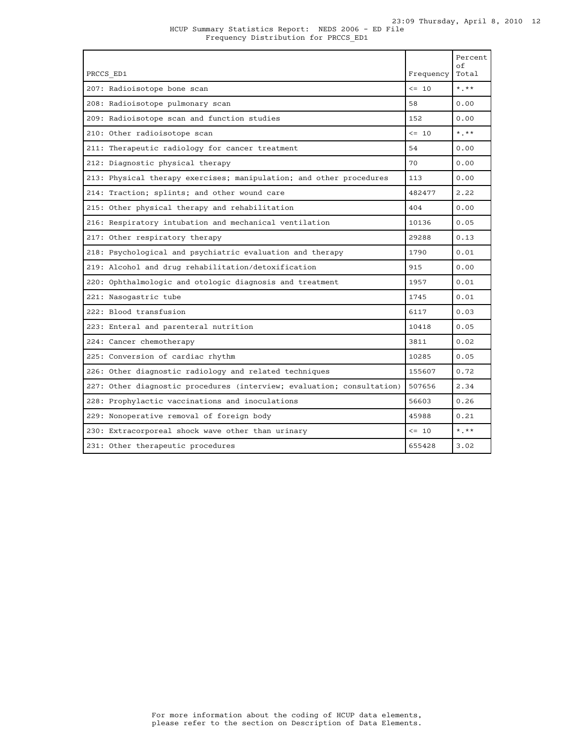| PRCCS ED1                                                              | Frequency  | Percent<br>of<br>Total |
|------------------------------------------------------------------------|------------|------------------------|
| 207: Radioisotope bone scan                                            | $\leq -10$ | $*$ , $*$              |
| 208: Radioisotope pulmonary scan                                       | 58         | 0.00                   |
| 209: Radioisotope scan and function studies                            | 152        | 0.00                   |
| 210: Other radioisotope scan                                           | $\leq 10$  | $*$ , $**$             |
| 211: Therapeutic radiology for cancer treatment                        | 54         | 0.00                   |
| 212: Diagnostic physical therapy                                       | 70         | 0.00                   |
| 213: Physical therapy exercises; manipulation; and other procedures    | 113        | 0.00                   |
| 214: Traction; splints; and other wound care                           | 482477     | 2.22                   |
| 215: Other physical therapy and rehabilitation                         | 404        | 0.00                   |
| 216: Respiratory intubation and mechanical ventilation                 | 10136      | 0.05                   |
| 217: Other respiratory therapy                                         | 29288      | 0.13                   |
| 218: Psychological and psychiatric evaluation and therapy              | 1790       | 0.01                   |
| 219: Alcohol and drug rehabilitation/detoxification                    | 915        | 0.00                   |
| 220: Ophthalmologic and otologic diagnosis and treatment               | 1957       | 0.01                   |
| 221: Nasogastric tube                                                  | 1745       | 0.01                   |
| 222: Blood transfusion                                                 | 6117       | 0.03                   |
| 223: Enteral and parenteral nutrition                                  | 10418      | 0.05                   |
| 224: Cancer chemotherapy                                               | 3811       | 0.02                   |
| 225: Conversion of cardiac rhythm                                      | 10285      | 0.05                   |
| 226: Other diagnostic radiology and related techniques                 | 155607     | 0.72                   |
| 227: Other diagnostic procedures (interview; evaluation; consultation) | 507656     | 2.34                   |
| 228: Prophylactic vaccinations and inoculations                        | 56603      | 0.26                   |
| 229: Nonoperative removal of foreign body                              | 45988      | 0.21                   |
| 230: Extracorporeal shock wave other than urinary                      | $\leq$ 10  | $*$ , $*$              |
| 231: Other therapeutic procedures                                      | 655428     | 3.02                   |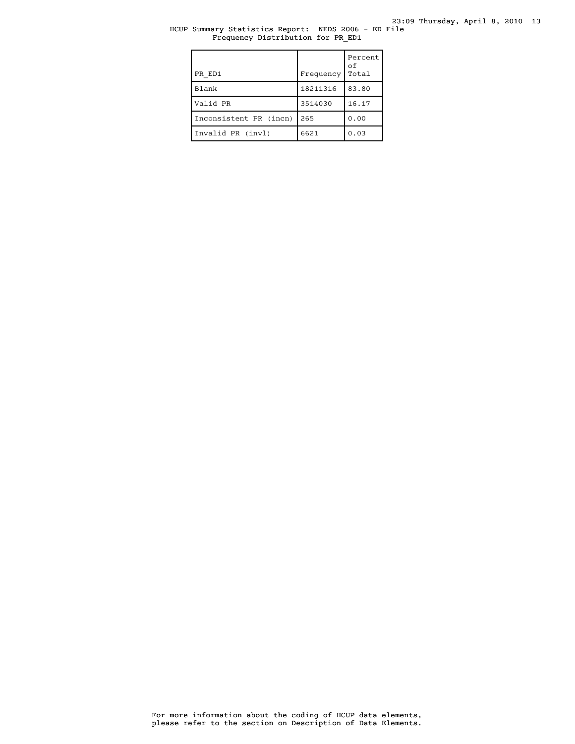# HCUP Summary Statistics Report: NEDS 2006 - ED File Frequency Distribution for PR\_ED1

| PR ED1                 | Frequency | Percent<br>οf<br>Total |
|------------------------|-----------|------------------------|
| Blank                  | 18211316  | 83.80                  |
| Valid PR               | 3514030   | 16.17                  |
| Inconsistent PR (incn) | 265       | 0.00                   |
| Invalid PR (invl)      | 6621      | 0.03                   |